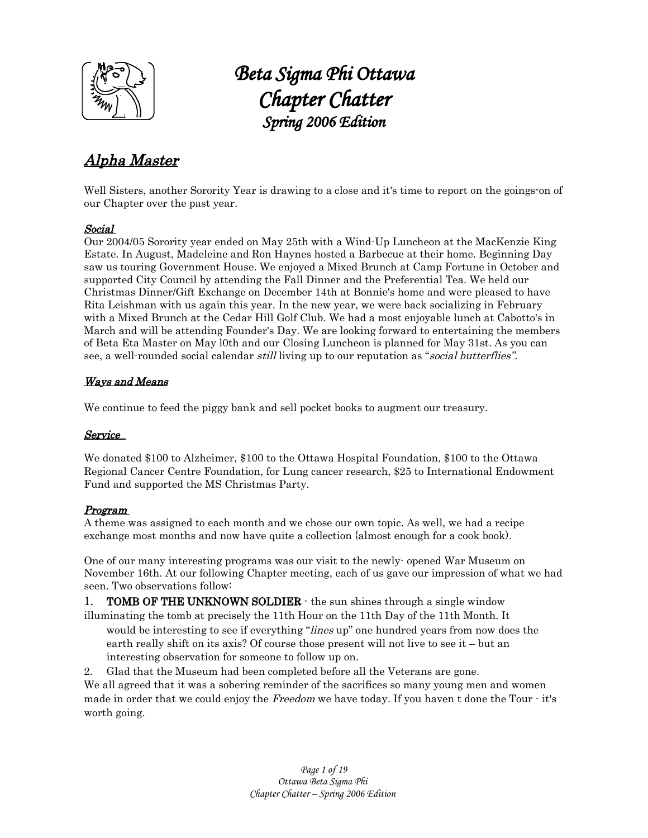

# <sup>1</sup> *Beta Sigma Phi Ottawa Chapter Chatter Spring 2006 Edition*

# Alpha Master

Well Sisters, another Sorority Year is drawing to a close and it's time to report on the goings-on of our Chapter over the past year.

### Social

Our 2004/05 Sorority year ended on May 25th with a Wind-Up Luncheon at the MacKenzie King Estate. In August, Madeleine and Ron Haynes hosted a Barbecue at their home. Beginning Day saw us touring Government House. We enjoyed a Mixed Brunch at Camp Fortune in October and supported City Council by attending the Fall Dinner and the Preferential Tea. We held our Christmas Dinner/Gift Exchange on December 14th at Bonnie's home and were pleased to have Rita Leishman with us again this year. In the new year, we were back socializing in February with a Mixed Brunch at the Cedar Hill Golf Club. We had a most enjoyable lunch at Cabotto's in March and will be attending Founder's Day. We are looking forward to entertaining the members of Beta Eta Master on May l0th and our Closing Luncheon is planned for May 31st. As you can see, a well-rounded social calendar *still* living up to our reputation as "social butterflies".

### Ways and Means

We continue to feed the piggy bank and sell pocket books to augment our treasury.

### Service

We donated \$100 to Alzheimer, \$100 to the Ottawa Hospital Foundation, \$100 to the Ottawa Regional Cancer Centre Foundation, for Lung cancer research, \$25 to International Endowment Fund and supported the MS Christmas Party.

### Program

A theme was assigned to each month and we chose our own topic. As well, we had a recipe exchange most months and now have quite a collection {almost enough for a cook book).

One of our many interesting programs was our visit to the newly- opened War Museum on November 16th. At our following Chapter meeting, each of us gave our impression of what we had seen. Two observations follow:

1. **TOMB OF THE UNKNOWN SOLDIER**  $\cdot$  the sun shines through a single window illuminating the tomb at precisely the 11th Hour on the 11th Day of the 11th Month. It

- would be interesting to see if everything "*lines* up" one hundred years from now does the earth really shift on its axis? Of course those present will not live to see it – but an interesting observation for someone to follow up on.
- 2. Glad that the Museum had been completed before all the Veterans are gone.

We all agreed that it was a sobering reminder of the sacrifices so many young men and women made in order that we could enjoy the Freedom we have today. If you haven t done the Tour - it's worth going.

> *Page 1 of 19 Ottawa Beta Sigma Phi Chapter Chatter – Spring 2006 Edition*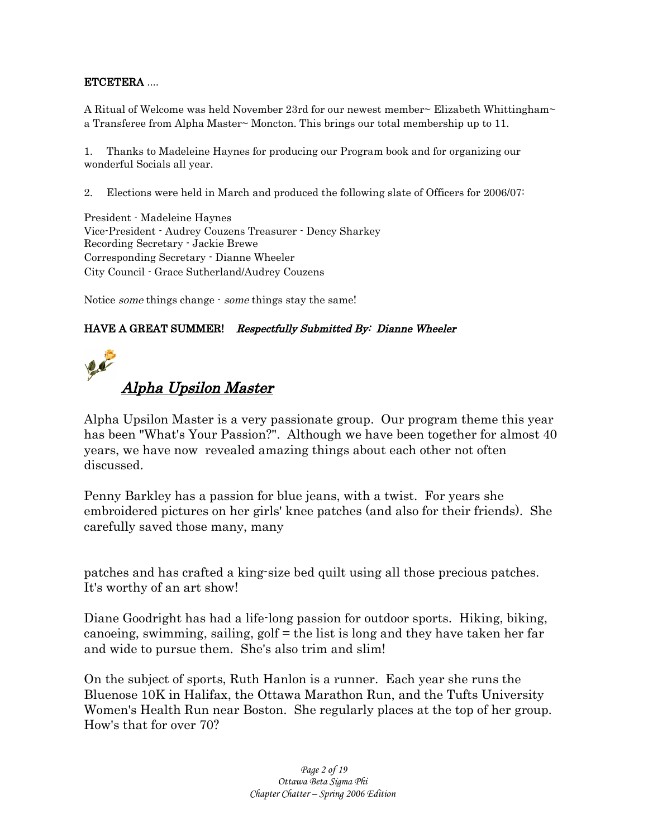### ETCETERA ....

A Ritual of Welcome was held November 23rd for our newest member~ Elizabeth Whittingham~ a Transferee from Alpha Master~ Moncton. This brings our total membership up to 11.

1. Thanks to Madeleine Haynes for producing our Program book and for organizing our wonderful Socials all year.

2. Elections were held in March and produced the following slate of Officers for 2006/07:

President - Madeleine Haynes Vice-President - Audrey Couzens Treasurer - Dency Sharkey Recording Secretary - Jackie Brewe Corresponding Secretary - Dianne Wheeler City Council - Grace Sutherland/Audrey Couzens

Notice some things change - some things stay the same!

### HAVE A GREAT SUMMER! Respectfully Submitted By: Dianne Wheeler



Alpha Upsilon Master is a very passionate group. Our program theme this year has been "What's Your Passion?". Although we have been together for almost 40 years, we have now revealed amazing things about each other not often discussed.

Penny Barkley has a passion for blue jeans, with a twist. For years she embroidered pictures on her girls' knee patches (and also for their friends). She carefully saved those many, many

patches and has crafted a king-size bed quilt using all those precious patches. It's worthy of an art show!

Diane Goodright has had a life-long passion for outdoor sports. Hiking, biking, canoeing, swimming, sailing, golf = the list is long and they have taken her far and wide to pursue them. She's also trim and slim!

On the subject of sports, Ruth Hanlon is a runner. Each year she runs the Bluenose 10K in Halifax, the Ottawa Marathon Run, and the Tufts University Women's Health Run near Boston. She regularly places at the top of her group. How's that for over 70?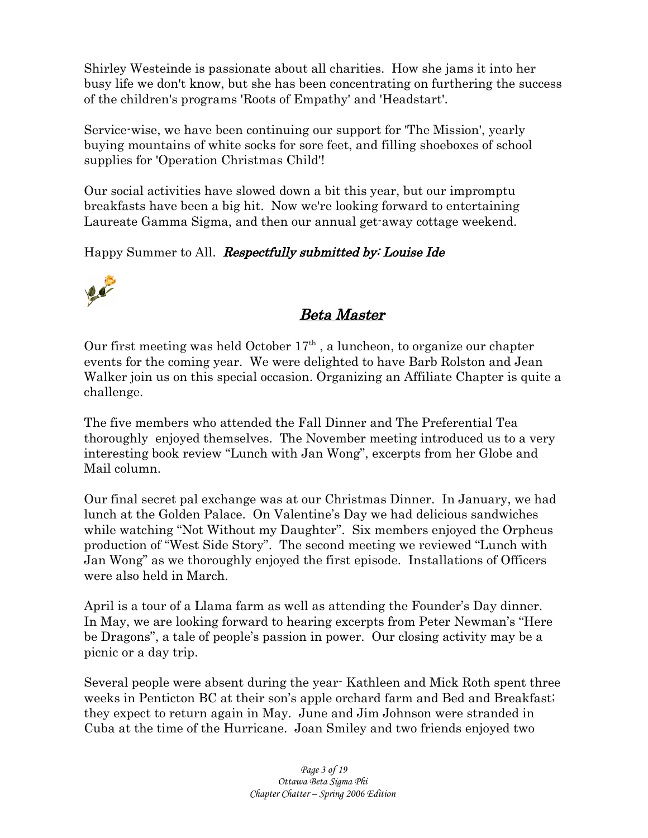Shirley Westeinde is passionate about all charities. How she jams it into her busy life we don't know, but she has been concentrating on furthering the success of the children's programs 'Roots of Empathy' and 'Headstart'.

Service-wise, we have been continuing our support for 'The Mission', yearly buying mountains of white socks for sore feet, and filling shoeboxes of school supplies for 'Operation Christmas Child'!

Our social activities have slowed down a bit this year, but our impromptu breakfasts have been a big hit. Now we're looking forward to entertaining Laureate Gamma Sigma, and then our annual get-away cottage weekend.

Happy Summer to All. Respectfully submitted by: Louise Ide



# Beta Master

Our first meeting was held October  $17<sup>th</sup>$ , a luncheon, to organize our chapter events for the coming year. We were delighted to have Barb Rolston and Jean Walker join us on this special occasion. Organizing an Affiliate Chapter is quite a challenge.

The five members who attended the Fall Dinner and The Preferential Tea thoroughly enjoyed themselves. The November meeting introduced us to a very interesting book review "Lunch with Jan Wong", excerpts from her Globe and Mail column.

Our final secret pal exchange was at our Christmas Dinner. In January, we had lunch at the Golden Palace. On Valentine's Day we had delicious sandwiches while watching "Not Without my Daughter". Six members enjoyed the Orpheus production of "West Side Story". The second meeting we reviewed "Lunch with Jan Wong" as we thoroughly enjoyed the first episode. Installations of Officers were also held in March.

April is a tour of a Llama farm as well as attending the Founder's Day dinner. In May, we are looking forward to hearing excerpts from Peter Newman's "Here be Dragons", a tale of people's passion in power. Our closing activity may be a picnic or a day trip.

Several people were absent during the year- Kathleen and Mick Roth spent three weeks in Penticton BC at their son's apple orchard farm and Bed and Breakfast; they expect to return again in May. June and Jim Johnson were stranded in Cuba at the time of the Hurricane. Joan Smiley and two friends enjoyed two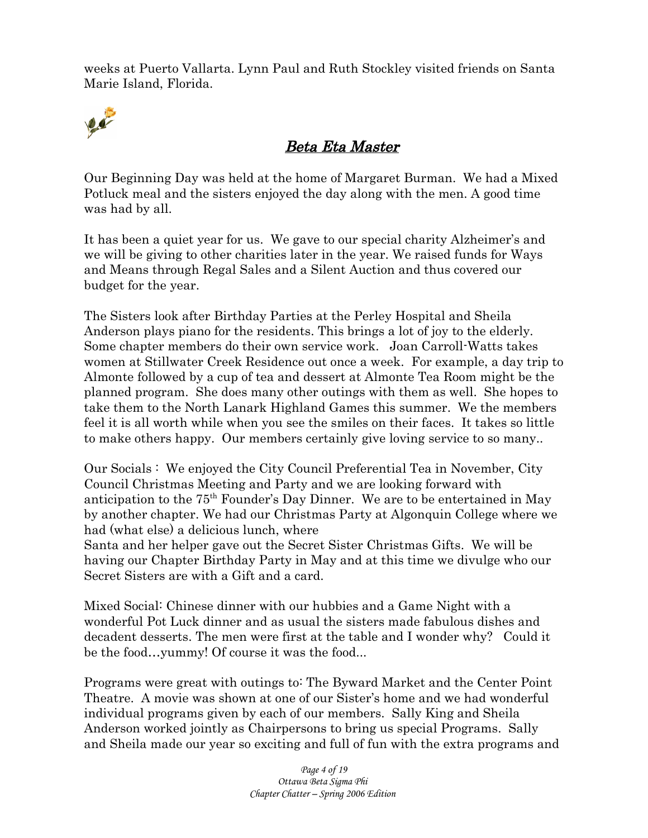weeks at Puerto Vallarta. Lynn Paul and Ruth Stockley visited friends on Santa Marie Island, Florida.



## Beta Eta Master

Our Beginning Day was held at the home of Margaret Burman. We had a Mixed Potluck meal and the sisters enjoyed the day along with the men. A good time was had by all.

It has been a quiet year for us. We gave to our special charity Alzheimer's and we will be giving to other charities later in the year. We raised funds for Ways and Means through Regal Sales and a Silent Auction and thus covered our budget for the year.

The Sisters look after Birthday Parties at the Perley Hospital and Sheila Anderson plays piano for the residents. This brings a lot of joy to the elderly. Some chapter members do their own service work. Joan Carroll-Watts takes women at Stillwater Creek Residence out once a week. For example, a day trip to Almonte followed by a cup of tea and dessert at Almonte Tea Room might be the planned program. She does many other outings with them as well. She hopes to take them to the North Lanark Highland Games this summer. We the members feel it is all worth while when you see the smiles on their faces. It takes so little to make others happy. Our members certainly give loving service to so many..

Our Socials : We enjoyed the City Council Preferential Tea in November, City Council Christmas Meeting and Party and we are looking forward with anticipation to the 75<sup>th</sup> Founder's Day Dinner. We are to be entertained in May by another chapter. We had our Christmas Party at Algonquin College where we had (what else) a delicious lunch, where

Santa and her helper gave out the Secret Sister Christmas Gifts. We will be having our Chapter Birthday Party in May and at this time we divulge who our Secret Sisters are with a Gift and a card.

Mixed Social: Chinese dinner with our hubbies and a Game Night with a wonderful Pot Luck dinner and as usual the sisters made fabulous dishes and decadent desserts. The men were first at the table and I wonder why? Could it be the food…yummy! Of course it was the food...

Programs were great with outings to: The Byward Market and the Center Point Theatre. A movie was shown at one of our Sister's home and we had wonderful individual programs given by each of our members. Sally King and Sheila Anderson worked jointly as Chairpersons to bring us special Programs. Sally and Sheila made our year so exciting and full of fun with the extra programs and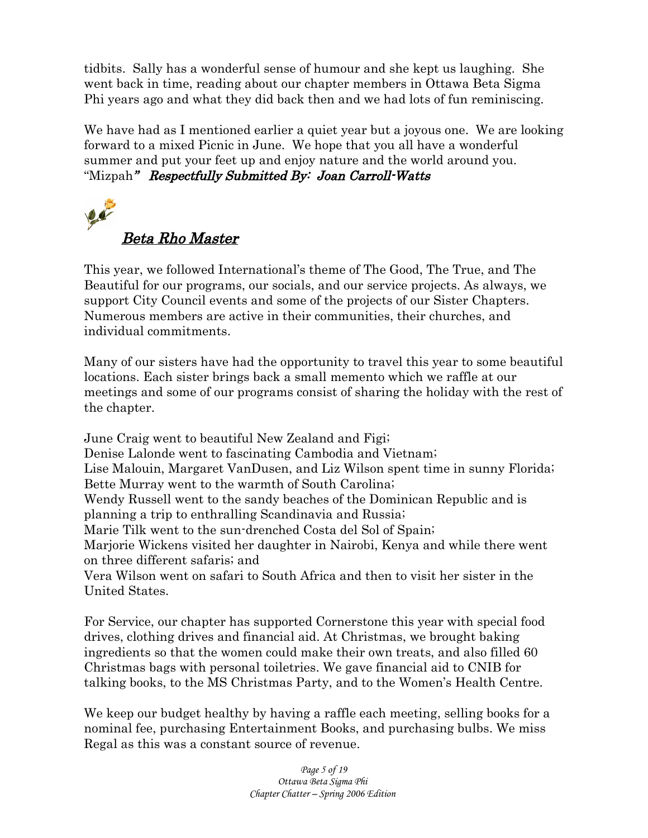tidbits. Sally has a wonderful sense of humour and she kept us laughing. She went back in time, reading about our chapter members in Ottawa Beta Sigma Phi years ago and what they did back then and we had lots of fun reminiscing.

We have had as I mentioned earlier a quiet year but a joyous one. We are looking forward to a mixed Picnic in June. We hope that you all have a wonderful summer and put your feet up and enjoy nature and the world around you. "Mizpah" Respectfully Submitted By: Joan Carroll-Watts



This year, we followed International's theme of The Good, The True, and The Beautiful for our programs, our socials, and our service projects. As always, we support City Council events and some of the projects of our Sister Chapters. Numerous members are active in their communities, their churches, and individual commitments.

Many of our sisters have had the opportunity to travel this year to some beautiful locations. Each sister brings back a small memento which we raffle at our meetings and some of our programs consist of sharing the holiday with the rest of the chapter.

June Craig went to beautiful New Zealand and Figi; Denise Lalonde went to fascinating Cambodia and Vietnam; Lise Malouin, Margaret VanDusen, and Liz Wilson spent time in sunny Florida; Bette Murray went to the warmth of South Carolina; Wendy Russell went to the sandy beaches of the Dominican Republic and is planning a trip to enthralling Scandinavia and Russia; Marie Tilk went to the sun-drenched Costa del Sol of Spain; Marjorie Wickens visited her daughter in Nairobi, Kenya and while there went on three different safaris; and Vera Wilson went on safari to South Africa and then to visit her sister in the United States.

For Service, our chapter has supported Cornerstone this year with special food drives, clothing drives and financial aid. At Christmas, we brought baking ingredients so that the women could make their own treats, and also filled 60 Christmas bags with personal toiletries. We gave financial aid to CNIB for talking books, to the MS Christmas Party, and to the Women's Health Centre.

We keep our budget healthy by having a raffle each meeting, selling books for a nominal fee, purchasing Entertainment Books, and purchasing bulbs. We miss Regal as this was a constant source of revenue.

> *Page 5 of 19 Ottawa Beta Sigma Phi Chapter Chatter – Spring 2006 Edition*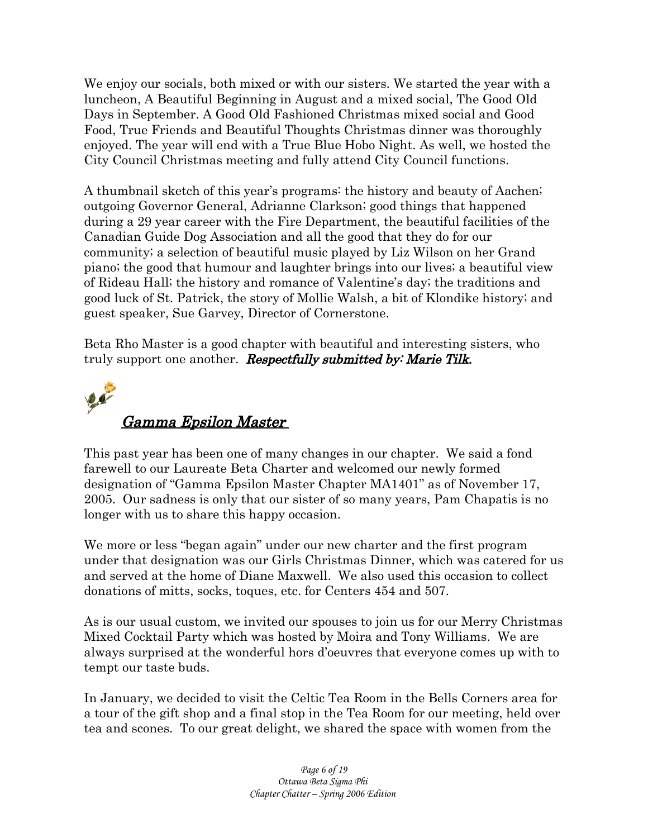We enjoy our socials, both mixed or with our sisters. We started the year with a luncheon, A Beautiful Beginning in August and a mixed social, The Good Old Days in September. A Good Old Fashioned Christmas mixed social and Good Food, True Friends and Beautiful Thoughts Christmas dinner was thoroughly enjoyed. The year will end with a True Blue Hobo Night. As well, we hosted the City Council Christmas meeting and fully attend City Council functions.

A thumbnail sketch of this year's programs: the history and beauty of Aachen; outgoing Governor General, Adrianne Clarkson; good things that happened during a 29 year career with the Fire Department, the beautiful facilities of the Canadian Guide Dog Association and all the good that they do for our community; a selection of beautiful music played by Liz Wilson on her Grand piano; the good that humour and laughter brings into our lives; a beautiful view of Rideau Hall; the history and romance of Valentine's day; the traditions and good luck of St. Patrick, the story of Mollie Walsh, a bit of Klondike history; and guest speaker, Sue Garvey, Director of Cornerstone.

Beta Rho Master is a good chapter with beautiful and interesting sisters, who truly support one another. **Respectfully submitted by: Marie Tilk.** 



This past year has been one of many changes in our chapter. We said a fond farewell to our Laureate Beta Charter and welcomed our newly formed designation of "Gamma Epsilon Master Chapter MA1401" as of November 17, 2005. Our sadness is only that our sister of so many years, Pam Chapatis is no longer with us to share this happy occasion.

We more or less "began again" under our new charter and the first program under that designation was our Girls Christmas Dinner, which was catered for us and served at the home of Diane Maxwell. We also used this occasion to collect donations of mitts, socks, toques, etc. for Centers 454 and 507.

As is our usual custom, we invited our spouses to join us for our Merry Christmas Mixed Cocktail Party which was hosted by Moira and Tony Williams. We are always surprised at the wonderful hors d'oeuvres that everyone comes up with to tempt our taste buds.

In January, we decided to visit the Celtic Tea Room in the Bells Corners area for a tour of the gift shop and a final stop in the Tea Room for our meeting, held over tea and scones. To our great delight, we shared the space with women from the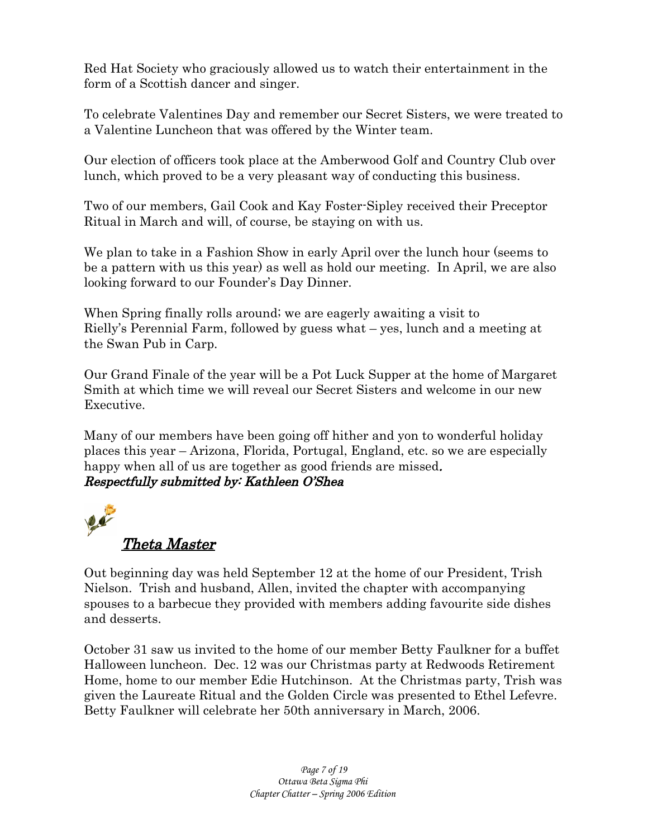Red Hat Society who graciously allowed us to watch their entertainment in the form of a Scottish dancer and singer.

To celebrate Valentines Day and remember our Secret Sisters, we were treated to a Valentine Luncheon that was offered by the Winter team.

Our election of officers took place at the Amberwood Golf and Country Club over lunch, which proved to be a very pleasant way of conducting this business.

Two of our members, Gail Cook and Kay Foster-Sipley received their Preceptor Ritual in March and will, of course, be staying on with us.

We plan to take in a Fashion Show in early April over the lunch hour (seems to be a pattern with us this year) as well as hold our meeting. In April, we are also looking forward to our Founder's Day Dinner.

When Spring finally rolls around; we are eagerly awaiting a visit to Rielly's Perennial Farm, followed by guess what – yes, lunch and a meeting at the Swan Pub in Carp.

Our Grand Finale of the year will be a Pot Luck Supper at the home of Margaret Smith at which time we will reveal our Secret Sisters and welcome in our new Executive.

Many of our members have been going off hither and yon to wonderful holiday places this year – Arizona, Florida, Portugal, England, etc. so we are especially happy when all of us are together as good friends are missed. Respectfully submitted by: Kathleen O'Shea



Out beginning day was held September 12 at the home of our President, Trish Nielson. Trish and husband, Allen, invited the chapter with accompanying spouses to a barbecue they provided with members adding favourite side dishes and desserts.

October 31 saw us invited to the home of our member Betty Faulkner for a buffet Halloween luncheon. Dec. 12 was our Christmas party at Redwoods Retirement Home, home to our member Edie Hutchinson. At the Christmas party, Trish was given the Laureate Ritual and the Golden Circle was presented to Ethel Lefevre. Betty Faulkner will celebrate her 50th anniversary in March, 2006.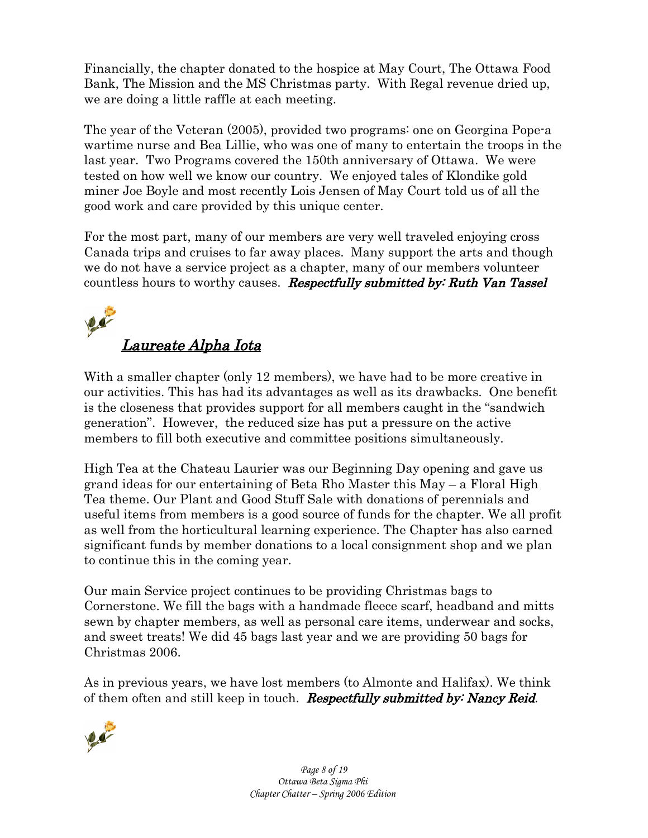Financially, the chapter donated to the hospice at May Court, The Ottawa Food Bank, The Mission and the MS Christmas party. With Regal revenue dried up, we are doing a little raffle at each meeting.

The year of the Veteran (2005), provided two programs: one on Georgina Pope-a wartime nurse and Bea Lillie, who was one of many to entertain the troops in the last year. Two Programs covered the 150th anniversary of Ottawa. We were tested on how well we know our country. We enjoyed tales of Klondike gold miner Joe Boyle and most recently Lois Jensen of May Court told us of all the good work and care provided by this unique center.

For the most part, many of our members are very well traveled enjoying cross Canada trips and cruises to far away places. Many support the arts and though we do not have a service project as a chapter, many of our members volunteer countless hours to worthy causes. Respectfully submitted by: Ruth Van Tassel

# $\sqrt{4}$ Laureate Alpha Iota

With a smaller chapter (only 12 members), we have had to be more creative in our activities. This has had its advantages as well as its drawbacks. One benefit is the closeness that provides support for all members caught in the "sandwich generation". However, the reduced size has put a pressure on the active members to fill both executive and committee positions simultaneously.

High Tea at the Chateau Laurier was our Beginning Day opening and gave us grand ideas for our entertaining of Beta Rho Master this May – a Floral High Tea theme. Our Plant and Good Stuff Sale with donations of perennials and useful items from members is a good source of funds for the chapter. We all profit as well from the horticultural learning experience. The Chapter has also earned significant funds by member donations to a local consignment shop and we plan to continue this in the coming year.

Our main Service project continues to be providing Christmas bags to Cornerstone. We fill the bags with a handmade fleece scarf, headband and mitts sewn by chapter members, as well as personal care items, underwear and socks, and sweet treats! We did 45 bags last year and we are providing 50 bags for Christmas 2006.

As in previous years, we have lost members (to Almonte and Halifax). We think of them often and still keep in touch. Respectfully submitted by: Nancy Reid.



*Page 8 of 19 Ottawa Beta Sigma Phi Chapter Chatter – Spring 2006 Edition*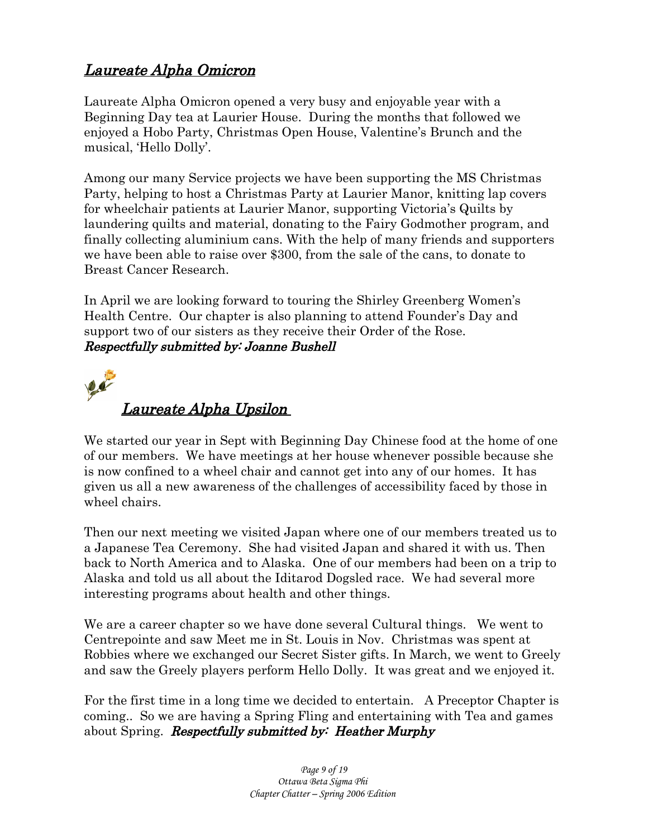# Laureate Alpha Omicron

Laureate Alpha Omicron opened a very busy and enjoyable year with a Beginning Day tea at Laurier House. During the months that followed we enjoyed a Hobo Party, Christmas Open House, Valentine's Brunch and the musical, 'Hello Dolly'.

Among our many Service projects we have been supporting the MS Christmas Party, helping to host a Christmas Party at Laurier Manor, knitting lap covers for wheelchair patients at Laurier Manor, supporting Victoria's Quilts by laundering quilts and material, donating to the Fairy Godmother program, and finally collecting aluminium cans. With the help of many friends and supporters we have been able to raise over \$300, from the sale of the cans, to donate to Breast Cancer Research.

In April we are looking forward to touring the Shirley Greenberg Women's Health Centre. Our chapter is also planning to attend Founder's Day and support two of our sisters as they receive their Order of the Rose. Respectfully submitted by: Joanne Bushell



We started our year in Sept with Beginning Day Chinese food at the home of one of our members. We have meetings at her house whenever possible because she is now confined to a wheel chair and cannot get into any of our homes. It has given us all a new awareness of the challenges of accessibility faced by those in wheel chairs.

Then our next meeting we visited Japan where one of our members treated us to a Japanese Tea Ceremony. She had visited Japan and shared it with us. Then back to North America and to Alaska. One of our members had been on a trip to Alaska and told us all about the Iditarod Dogsled race. We had several more interesting programs about health and other things.

We are a career chapter so we have done several Cultural things. We went to Centrepointe and saw Meet me in St. Louis in Nov. Christmas was spent at Robbies where we exchanged our Secret Sister gifts. In March, we went to Greely and saw the Greely players perform Hello Dolly. It was great and we enjoyed it.

For the first time in a long time we decided to entertain. A Preceptor Chapter is coming.. So we are having a Spring Fling and entertaining with Tea and games about Spring. *Respectfully submitted by: Heather Murphy*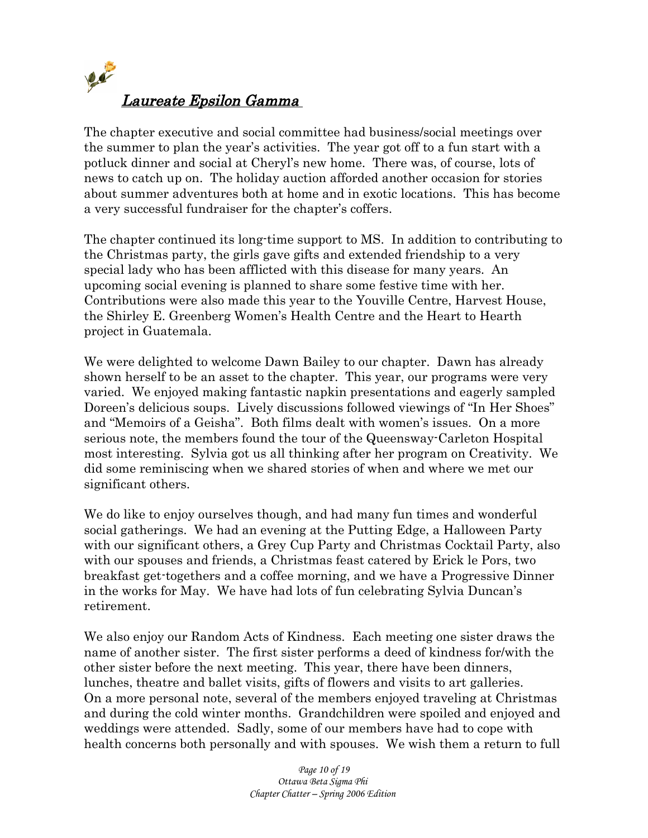

The chapter executive and social committee had business/social meetings over the summer to plan the year's activities. The year got off to a fun start with a potluck dinner and social at Cheryl's new home. There was, of course, lots of news to catch up on. The holiday auction afforded another occasion for stories about summer adventures both at home and in exotic locations. This has become a very successful fundraiser for the chapter's coffers.

The chapter continued its long-time support to MS. In addition to contributing to the Christmas party, the girls gave gifts and extended friendship to a very special lady who has been afflicted with this disease for many years. An upcoming social evening is planned to share some festive time with her. Contributions were also made this year to the Youville Centre, Harvest House, the Shirley E. Greenberg Women's Health Centre and the Heart to Hearth project in Guatemala.

We were delighted to welcome Dawn Bailey to our chapter. Dawn has already shown herself to be an asset to the chapter. This year, our programs were very varied. We enjoyed making fantastic napkin presentations and eagerly sampled Doreen's delicious soups. Lively discussions followed viewings of "In Her Shoes" and "Memoirs of a Geisha". Both films dealt with women's issues. On a more serious note, the members found the tour of the Queensway-Carleton Hospital most interesting. Sylvia got us all thinking after her program on Creativity. We did some reminiscing when we shared stories of when and where we met our significant others.

We do like to enjoy ourselves though, and had many fun times and wonderful social gatherings. We had an evening at the Putting Edge, a Halloween Party with our significant others, a Grey Cup Party and Christmas Cocktail Party, also with our spouses and friends, a Christmas feast catered by Erick le Pors, two breakfast get-togethers and a coffee morning, and we have a Progressive Dinner in the works for May. We have had lots of fun celebrating Sylvia Duncan's retirement.

We also enjoy our Random Acts of Kindness. Each meeting one sister draws the name of another sister. The first sister performs a deed of kindness for/with the other sister before the next meeting. This year, there have been dinners, lunches, theatre and ballet visits, gifts of flowers and visits to art galleries. On a more personal note, several of the members enjoyed traveling at Christmas and during the cold winter months. Grandchildren were spoiled and enjoyed and weddings were attended. Sadly, some of our members have had to cope with health concerns both personally and with spouses. We wish them a return to full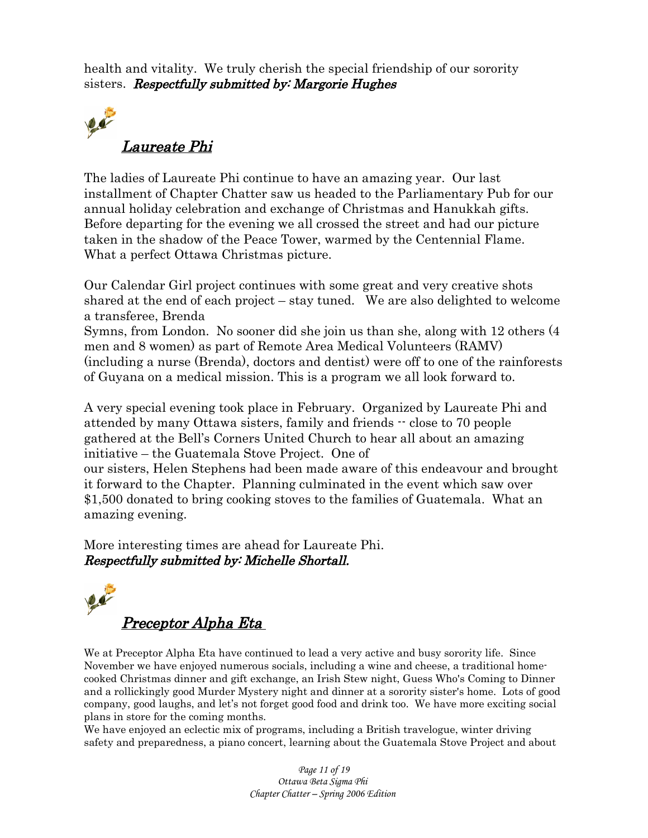health and vitality. We truly cherish the special friendship of our sorority sisters. Respectfully submitted by: Margorie Hughes



The ladies of Laureate Phi continue to have an amazing year. Our last installment of Chapter Chatter saw us headed to the Parliamentary Pub for our annual holiday celebration and exchange of Christmas and Hanukkah gifts. Before departing for the evening we all crossed the street and had our picture taken in the shadow of the Peace Tower, warmed by the Centennial Flame. What a perfect Ottawa Christmas picture.

Our Calendar Girl project continues with some great and very creative shots shared at the end of each project – stay tuned. We are also delighted to welcome a transferee, Brenda

Symns, from London. No sooner did she join us than she, along with 12 others (4 men and 8 women) as part of Remote Area Medical Volunteers (RAMV) (including a nurse (Brenda), doctors and dentist) were off to one of the rainforests of Guyana on a medical mission. This is a program we all look forward to.

A very special evening took place in February. Organized by Laureate Phi and attended by many Ottawa sisters, family and friends -- close to 70 people gathered at the Bell's Corners United Church to hear all about an amazing initiative – the Guatemala Stove Project. One of our sisters, Helen Stephens had been made aware of this endeavour and brought it forward to the Chapter. Planning culminated in the event which saw over

\$1,500 donated to bring cooking stoves to the families of Guatemala. What an amazing evening.

More interesting times are ahead for Laureate Phi. Respectfully submitted by: Michelle Shortall.



We at Preceptor Alpha Eta have continued to lead a very active and busy sorority life. Since November we have enjoyed numerous socials, including a wine and cheese, a traditional homecooked Christmas dinner and gift exchange, an Irish Stew night, Guess Who's Coming to Dinner and a rollickingly good Murder Mystery night and dinner at a sorority sister's home. Lots of good company, good laughs, and let's not forget good food and drink too. We have more exciting social plans in store for the coming months.

We have enjoyed an eclectic mix of programs, including a British travelogue, winter driving safety and preparedness, a piano concert, learning about the Guatemala Stove Project and about

> *Page 11 of 19 Ottawa Beta Sigma Phi Chapter Chatter – Spring 2006 Edition*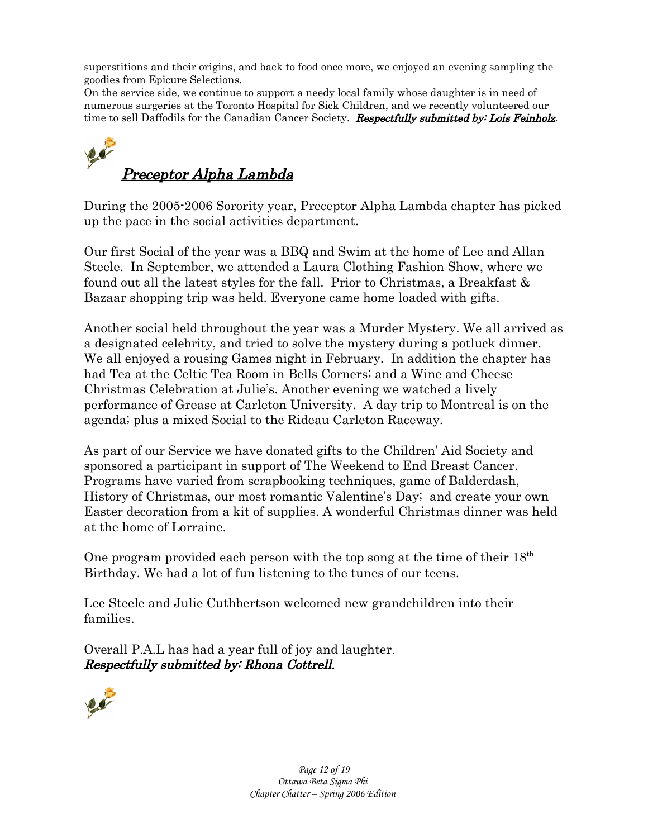superstitions and their origins, and back to food once more, we enjoyed an evening sampling the goodies from Epicure Selections.

On the service side, we continue to support a needy local family whose daughter is in need of numerous surgeries at the Toronto Hospital for Sick Children, and we recently volunteered our time to sell Daffodils for the Canadian Cancer Society. Respectfully submitted by: Lois Feinholz.

# 20 Preceptor Alpha Lambda

During the 2005-2006 Sorority year, Preceptor Alpha Lambda chapter has picked up the pace in the social activities department.

Our first Social of the year was a BBQ and Swim at the home of Lee and Allan Steele. In September, we attended a Laura Clothing Fashion Show, where we found out all the latest styles for the fall. Prior to Christmas, a Breakfast & Bazaar shopping trip was held. Everyone came home loaded with gifts.

Another social held throughout the year was a Murder Mystery. We all arrived as a designated celebrity, and tried to solve the mystery during a potluck dinner. We all enjoyed a rousing Games night in February. In addition the chapter has had Tea at the Celtic Tea Room in Bells Corners; and a Wine and Cheese Christmas Celebration at Julie's. Another evening we watched a lively performance of Grease at Carleton University. A day trip to Montreal is on the agenda; plus a mixed Social to the Rideau Carleton Raceway.

As part of our Service we have donated gifts to the Children' Aid Society and sponsored a participant in support of The Weekend to End Breast Cancer. Programs have varied from scrapbooking techniques, game of Balderdash, History of Christmas, our most romantic Valentine's Day; and create your own Easter decoration from a kit of supplies. A wonderful Christmas dinner was held at the home of Lorraine.

One program provided each person with the top song at the time of their  $18<sup>th</sup>$ Birthday. We had a lot of fun listening to the tunes of our teens.

Lee Steele and Julie Cuthbertson welcomed new grandchildren into their families.

Overall P.A.L has had a year full of joy and laughter. Respectfully submitted by: Rhona Cottrell.

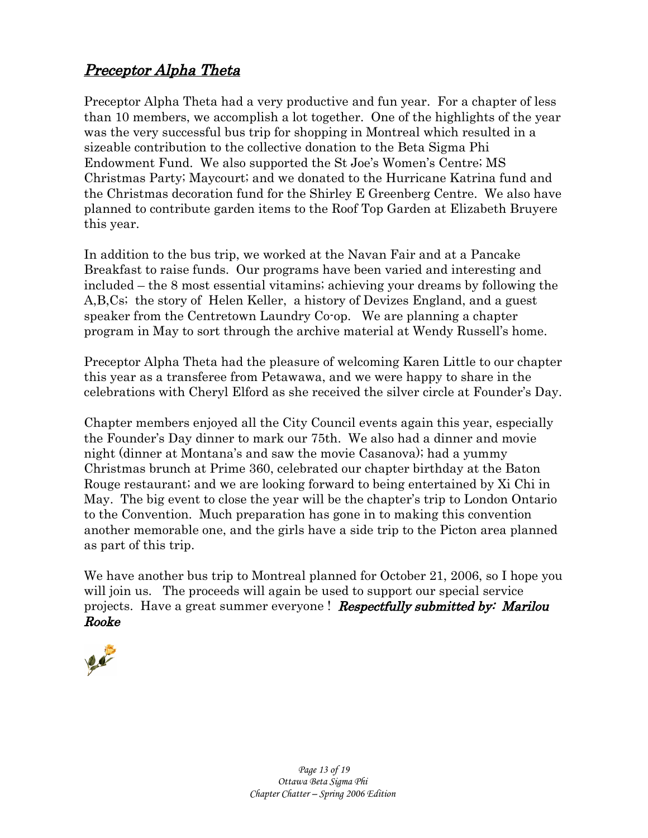# Preceptor Alpha Theta

Preceptor Alpha Theta had a very productive and fun year. For a chapter of less than 10 members, we accomplish a lot together. One of the highlights of the year was the very successful bus trip for shopping in Montreal which resulted in a sizeable contribution to the collective donation to the Beta Sigma Phi Endowment Fund. We also supported the St Joe's Women's Centre; MS Christmas Party; Maycourt; and we donated to the Hurricane Katrina fund and the Christmas decoration fund for the Shirley E Greenberg Centre. We also have planned to contribute garden items to the Roof Top Garden at Elizabeth Bruyere this year.

In addition to the bus trip, we worked at the Navan Fair and at a Pancake Breakfast to raise funds. Our programs have been varied and interesting and included – the 8 most essential vitamins; achieving your dreams by following the A,B,Cs; the story of Helen Keller, a history of Devizes England, and a guest speaker from the Centretown Laundry Co-op. We are planning a chapter program in May to sort through the archive material at Wendy Russell's home.

Preceptor Alpha Theta had the pleasure of welcoming Karen Little to our chapter this year as a transferee from Petawawa, and we were happy to share in the celebrations with Cheryl Elford as she received the silver circle at Founder's Day.

Chapter members enjoyed all the City Council events again this year, especially the Founder's Day dinner to mark our 75th. We also had a dinner and movie night (dinner at Montana's and saw the movie Casanova); had a yummy Christmas brunch at Prime 360, celebrated our chapter birthday at the Baton Rouge restaurant; and we are looking forward to being entertained by Xi Chi in May. The big event to close the year will be the chapter's trip to London Ontario to the Convention. Much preparation has gone in to making this convention another memorable one, and the girls have a side trip to the Picton area planned as part of this trip.

We have another bus trip to Montreal planned for October 21, 2006, so I hope you will join us. The proceeds will again be used to support our special service projects. Have a great summer everyone ! **Respectfully submitted by: Marilou** Rooke

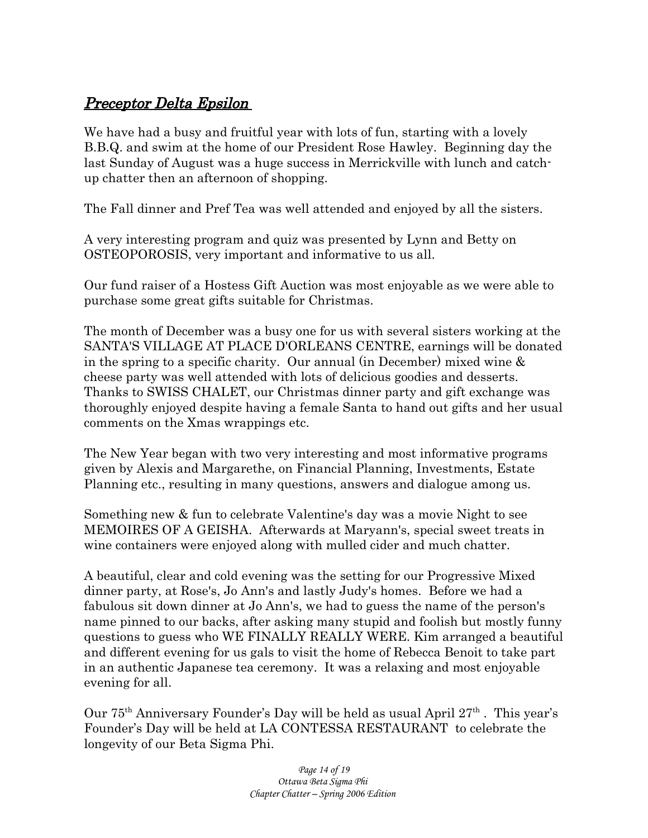## Preceptor Delta Epsilon

We have had a busy and fruitful year with lots of fun, starting with a lovely B.B.Q. and swim at the home of our President Rose Hawley. Beginning day the last Sunday of August was a huge success in Merrickville with lunch and catchup chatter then an afternoon of shopping.

The Fall dinner and Pref Tea was well attended and enjoyed by all the sisters.

A very interesting program and quiz was presented by Lynn and Betty on OSTEOPOROSIS, very important and informative to us all.

Our fund raiser of a Hostess Gift Auction was most enjoyable as we were able to purchase some great gifts suitable for Christmas.

The month of December was a busy one for us with several sisters working at the SANTA'S VILLAGE AT PLACE D'ORLEANS CENTRE, earnings will be donated in the spring to a specific charity. Our annual (in December) mixed wine & cheese party was well attended with lots of delicious goodies and desserts. Thanks to SWISS CHALET, our Christmas dinner party and gift exchange was thoroughly enjoyed despite having a female Santa to hand out gifts and her usual comments on the Xmas wrappings etc.

The New Year began with two very interesting and most informative programs given by Alexis and Margarethe, on Financial Planning, Investments, Estate Planning etc., resulting in many questions, answers and dialogue among us.

Something new & fun to celebrate Valentine's day was a movie Night to see MEMOIRES OF A GEISHA. Afterwards at Maryann's, special sweet treats in wine containers were enjoyed along with mulled cider and much chatter.

A beautiful, clear and cold evening was the setting for our Progressive Mixed dinner party, at Rose's, Jo Ann's and lastly Judy's homes. Before we had a fabulous sit down dinner at Jo Ann's, we had to guess the name of the person's name pinned to our backs, after asking many stupid and foolish but mostly funny questions to guess who WE FINALLY REALLY WERE. Kim arranged a beautiful and different evening for us gals to visit the home of Rebecca Benoit to take part in an authentic Japanese tea ceremony. It was a relaxing and most enjoyable evening for all.

Our  $75<sup>th</sup>$  Anniversary Founder's Day will be held as usual April  $27<sup>th</sup>$ . This year's Founder's Day will be held at LA CONTESSA RESTAURANT to celebrate the longevity of our Beta Sigma Phi.

> *Page 14 of 19 Ottawa Beta Sigma Phi Chapter Chatter – Spring 2006 Edition*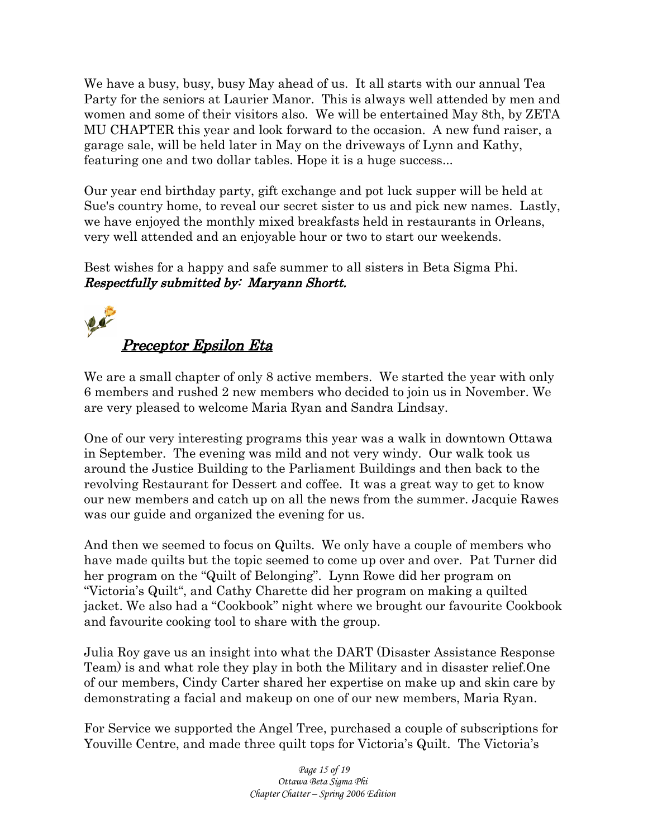We have a busy, busy, busy May ahead of us. It all starts with our annual Tea Party for the seniors at Laurier Manor. This is always well attended by men and women and some of their visitors also. We will be entertained May 8th, by ZETA MU CHAPTER this year and look forward to the occasion. A new fund raiser, a garage sale, will be held later in May on the driveways of Lynn and Kathy, featuring one and two dollar tables. Hope it is a huge success...

Our year end birthday party, gift exchange and pot luck supper will be held at Sue's country home, to reveal our secret sister to us and pick new names. Lastly, we have enjoyed the monthly mixed breakfasts held in restaurants in Orleans, very well attended and an enjoyable hour or two to start our weekends.

Best wishes for a happy and safe summer to all sisters in Beta Sigma Phi. Respectfully submitted by: Maryann Shortt.



We are a small chapter of only 8 active members. We started the year with only 6 members and rushed 2 new members who decided to join us in November. We are very pleased to welcome Maria Ryan and Sandra Lindsay.

One of our very interesting programs this year was a walk in downtown Ottawa in September. The evening was mild and not very windy. Our walk took us around the Justice Building to the Parliament Buildings and then back to the revolving Restaurant for Dessert and coffee. It was a great way to get to know our new members and catch up on all the news from the summer. Jacquie Rawes was our guide and organized the evening for us.

And then we seemed to focus on Quilts. We only have a couple of members who have made quilts but the topic seemed to come up over and over. Pat Turner did her program on the "Quilt of Belonging". Lynn Rowe did her program on "Victoria's Quilt", and Cathy Charette did her program on making a quilted jacket. We also had a "Cookbook" night where we brought our favourite Cookbook and favourite cooking tool to share with the group.

Julia Roy gave us an insight into what the DART (Disaster Assistance Response Team) is and what role they play in both the Military and in disaster relief.One of our members, Cindy Carter shared her expertise on make up and skin care by demonstrating a facial and makeup on one of our new members, Maria Ryan.

For Service we supported the Angel Tree, purchased a couple of subscriptions for Youville Centre, and made three quilt tops for Victoria's Quilt. The Victoria's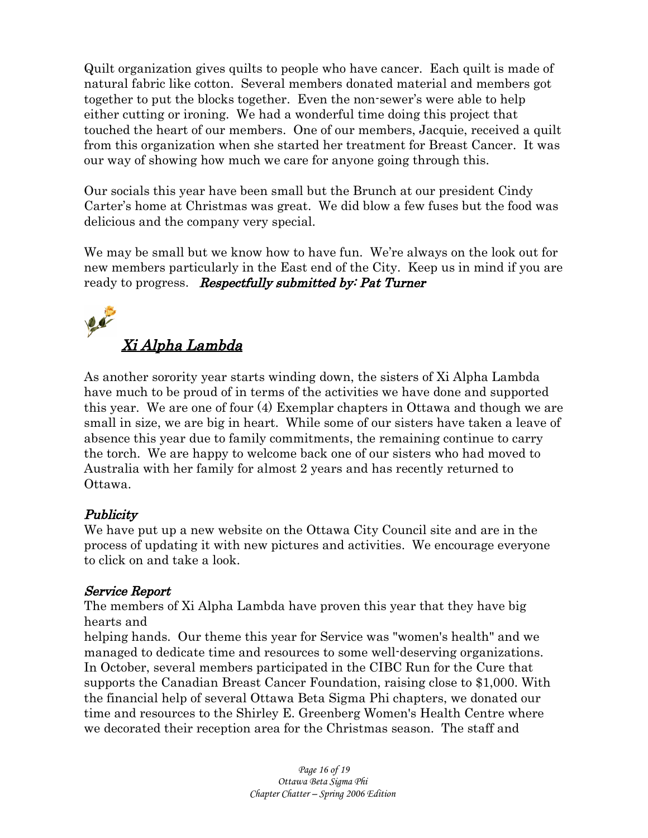Quilt organization gives quilts to people who have cancer. Each quilt is made of natural fabric like cotton. Several members donated material and members got together to put the blocks together. Even the non-sewer's were able to help either cutting or ironing. We had a wonderful time doing this project that touched the heart of our members. One of our members, Jacquie, received a quilt from this organization when she started her treatment for Breast Cancer. It was our way of showing how much we care for anyone going through this.

Our socials this year have been small but the Brunch at our president Cindy Carter's home at Christmas was great. We did blow a few fuses but the food was delicious and the company very special.

We may be small but we know how to have fun. We're always on the look out for new members particularly in the East end of the City. Keep us in mind if you are ready to progress. **Respectfully submitted by: Pat Turner** 



As another sorority year starts winding down, the sisters of Xi Alpha Lambda have much to be proud of in terms of the activities we have done and supported this year. We are one of four (4) Exemplar chapters in Ottawa and though we are small in size, we are big in heart. While some of our sisters have taken a leave of absence this year due to family commitments, the remaining continue to carry the torch. We are happy to welcome back one of our sisters who had moved to Australia with her family for almost 2 years and has recently returned to Ottawa.

## Publicity

We have put up a new website on the Ottawa City Council site and are in the process of updating it with new pictures and activities. We encourage everyone to click on and take a look.

### Service Report

The members of Xi Alpha Lambda have proven this year that they have big hearts and

helping hands. Our theme this year for Service was "women's health" and we managed to dedicate time and resources to some well-deserving organizations. In October, several members participated in the CIBC Run for the Cure that supports the Canadian Breast Cancer Foundation, raising close to \$1,000. With the financial help of several Ottawa Beta Sigma Phi chapters, we donated our time and resources to the Shirley E. Greenberg Women's Health Centre where we decorated their reception area for the Christmas season. The staff and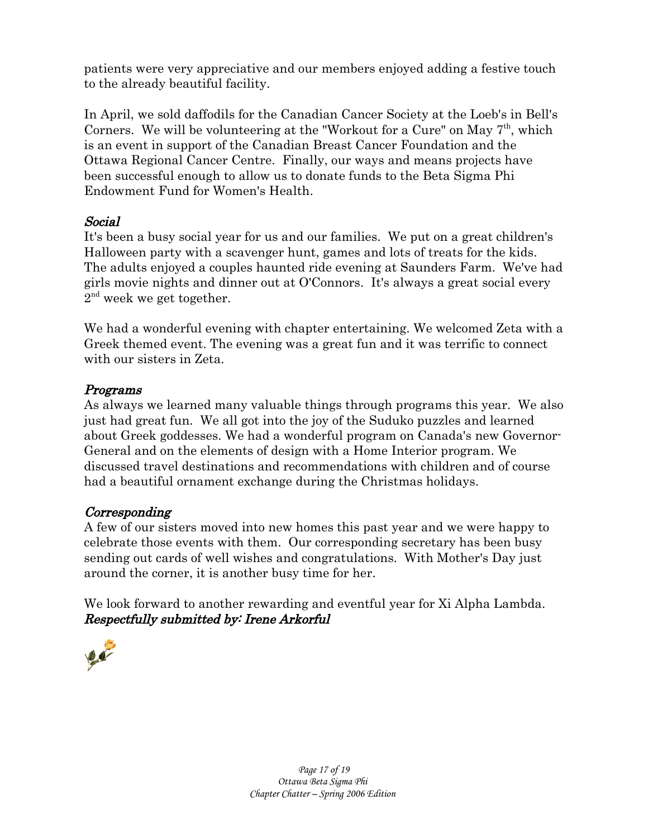patients were very appreciative and our members enjoyed adding a festive touch to the already beautiful facility.

In April, we sold daffodils for the Canadian Cancer Society at the Loeb's in Bell's Corners. We will be volunteering at the "Workout for a Cure" on May  $7<sup>th</sup>$ , which is an event in support of the Canadian Breast Cancer Foundation and the Ottawa Regional Cancer Centre. Finally, our ways and means projects have been successful enough to allow us to donate funds to the Beta Sigma Phi Endowment Fund for Women's Health.

## Social

It's been a busy social year for us and our families. We put on a great children's Halloween party with a scavenger hunt, games and lots of treats for the kids. The adults enjoyed a couples haunted ride evening at Saunders Farm. We've had girls movie nights and dinner out at O'Connors. It's always a great social every  $2<sup>nd</sup>$  week we get together.

We had a wonderful evening with chapter entertaining. We welcomed Zeta with a Greek themed event. The evening was a great fun and it was terrific to connect with our sisters in Zeta.

## Programs

As always we learned many valuable things through programs this year. We also just had great fun. We all got into the joy of the Suduko puzzles and learned about Greek goddesses. We had a wonderful program on Canada's new Governor-General and on the elements of design with a Home Interior program. We discussed travel destinations and recommendations with children and of course had a beautiful ornament exchange during the Christmas holidays.

## Corresponding

A few of our sisters moved into new homes this past year and we were happy to celebrate those events with them. Our corresponding secretary has been busy sending out cards of well wishes and congratulations. With Mother's Day just around the corner, it is another busy time for her.

We look forward to another rewarding and eventful year for Xi Alpha Lambda. Respectfully submitted by: Irene Arkorful

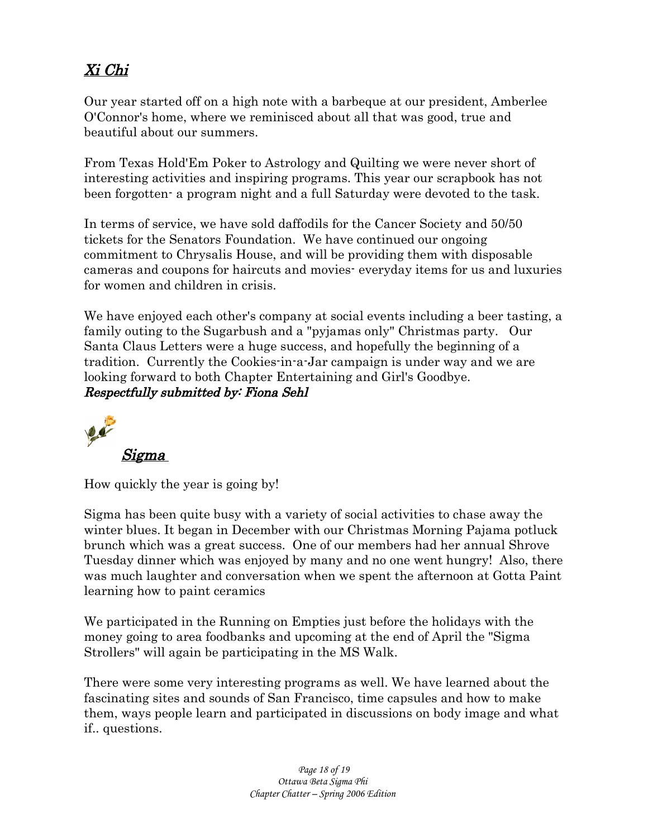# Xi Chi

Our year started off on a high note with a barbeque at our president, Amberlee O'Connor's home, where we reminisced about all that was good, true and beautiful about our summers.

From Texas Hold'Em Poker to Astrology and Quilting we were never short of interesting activities and inspiring programs. This year our scrapbook has not been forgotten- a program night and a full Saturday were devoted to the task.

In terms of service, we have sold daffodils for the Cancer Society and 50/50 tickets for the Senators Foundation. We have continued our ongoing commitment to Chrysalis House, and will be providing them with disposable cameras and coupons for haircuts and movies- everyday items for us and luxuries for women and children in crisis.

We have enjoyed each other's company at social events including a beer tasting, a family outing to the Sugarbush and a "pyjamas only" Christmas party. Our Santa Claus Letters were a huge success, and hopefully the beginning of a tradition. Currently the Cookies-in-a-Jar campaign is under way and we are looking forward to both Chapter Entertaining and Girl's Goodbye. Respectfully submitted by: Fiona Sehl



How quickly the year is going by!

Sigma has been quite busy with a variety of social activities to chase away the winter blues. It began in December with our Christmas Morning Pajama potluck brunch which was a great success. One of our members had her annual Shrove Tuesday dinner which was enjoyed by many and no one went hungry! Also, there was much laughter and conversation when we spent the afternoon at Gotta Paint learning how to paint ceramics

We participated in the Running on Empties just before the holidays with the money going to area foodbanks and upcoming at the end of April the "Sigma Strollers" will again be participating in the MS Walk.

There were some very interesting programs as well. We have learned about the fascinating sites and sounds of San Francisco, time capsules and how to make them, ways people learn and participated in discussions on body image and what if.. questions.